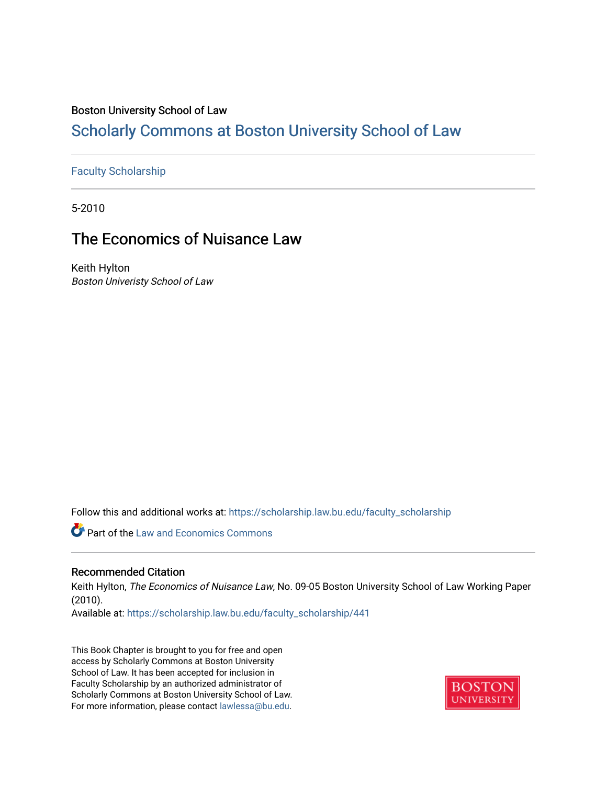# Boston University School of Law

# [Scholarly Commons at Boston University School of Law](https://scholarship.law.bu.edu/)

# [Faculty Scholarship](https://scholarship.law.bu.edu/faculty_scholarship)

5-2010

# The Economics of Nuisance Law

Keith Hylton Boston Univeristy School of Law

Follow this and additional works at: [https://scholarship.law.bu.edu/faculty\\_scholarship](https://scholarship.law.bu.edu/faculty_scholarship?utm_source=scholarship.law.bu.edu%2Ffaculty_scholarship%2F441&utm_medium=PDF&utm_campaign=PDFCoverPages)

**P** Part of the Law and Economics Commons

#### Recommended Citation

Keith Hylton, The Economics of Nuisance Law, No. 09-05 Boston University School of Law Working Paper (2010).

Available at: [https://scholarship.law.bu.edu/faculty\\_scholarship/441](https://scholarship.law.bu.edu/faculty_scholarship/441?utm_source=scholarship.law.bu.edu%2Ffaculty_scholarship%2F441&utm_medium=PDF&utm_campaign=PDFCoverPages) 

This Book Chapter is brought to you for free and open access by Scholarly Commons at Boston University School of Law. It has been accepted for inclusion in Faculty Scholarship by an authorized administrator of Scholarly Commons at Boston University School of Law. For more information, please contact [lawlessa@bu.edu](mailto:lawlessa@bu.edu).

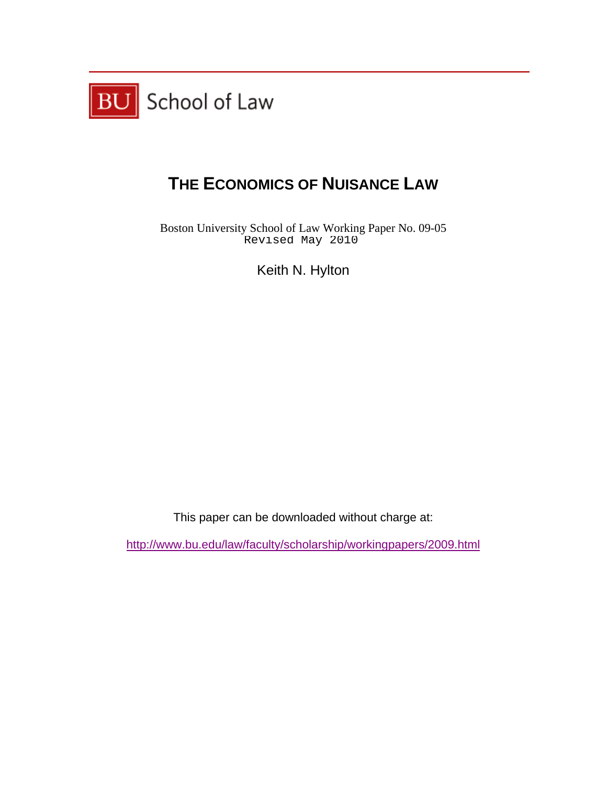

# **THE ECONOMICS OF NUISANCE LAW**

Boston University School of Law Working Paper No. 09-05 Revised May 2010

Keith N. Hylton

This paper can be downloaded without charge at:

http://www.bu.edu/law/faculty/scholarship/workingpapers/2009.html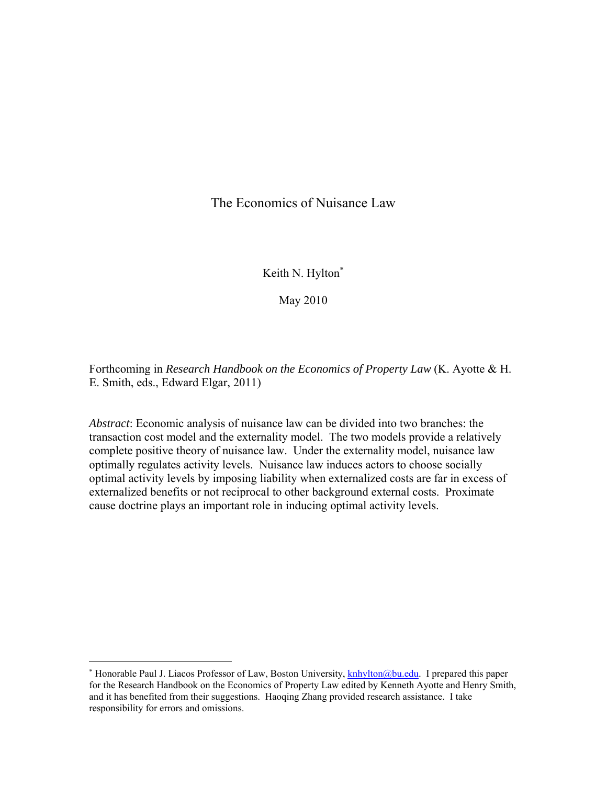The Economics of Nuisance Law

Keith N. Hylton

May 2010

Forthcoming in *Research Handbook on the Economics of Property Law* (K. Ayotte & H. E. Smith, eds., Edward Elgar, 2011)

*Abstract*: Economic analysis of nuisance law can be divided into two branches: the transaction cost model and the externality model. The two models provide a relatively complete positive theory of nuisance law. Under the externality model, nuisance law optimally regulates activity levels. Nuisance law induces actors to choose socially optimal activity levels by imposing liability when externalized costs are far in excess of externalized benefits or not reciprocal to other background external costs. Proximate cause doctrine plays an important role in inducing optimal activity levels.

<u>.</u>

<sup>\*</sup> Honorable Paul J. Liacos Professor of Law, Boston University, **knhylton@bu.edu**. I prepared this paper for the Research Handbook on the Economics of Property Law edited by Kenneth Ayotte and Henry Smith, and it has benefited from their suggestions. Haoqing Zhang provided research assistance. I take responsibility for errors and omissions.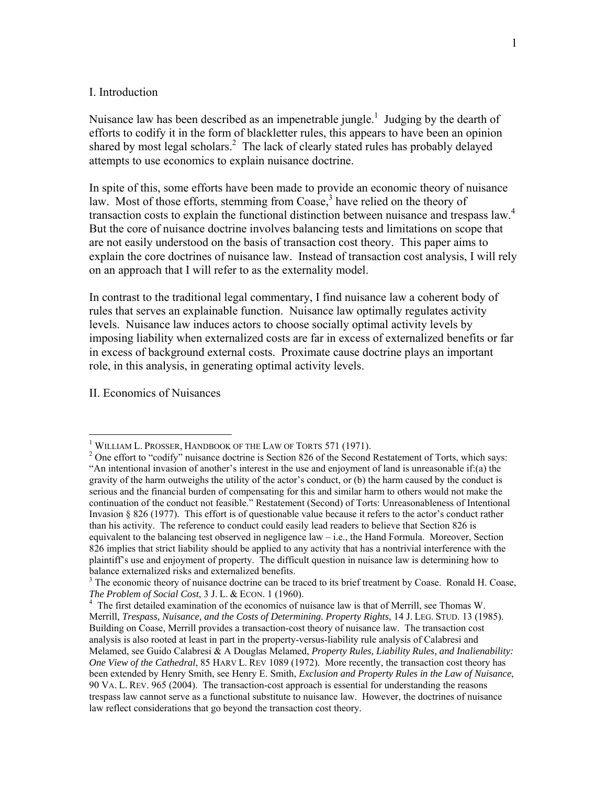#### I. Introduction

Nuisance law has been described as an impenetrable jungle.<sup>1</sup> Judging by the dearth of efforts to codify it in the form of blackletter rules, this appears to have been an opinion shared by most legal scholars.<sup>2</sup> The lack of clearly stated rules has probably delayed attempts to use economics to explain nuisance doctrine.

In spite of this, some efforts have been made to provide an economic theory of nuisance law. Most of those efforts, stemming from  $\text{Coase}^3$  have relied on the theory of transaction costs to explain the functional distinction between nuisance and trespass law.<sup>4</sup> But the core of nuisance doctrine involves balancing tests and limitations on scope that are not easily understood on the basis of transaction cost theory. This paper aims to explain the core doctrines of nuisance law. Instead of transaction cost analysis, I will rely on an approach that I will refer to as the externality model.

In contrast to the traditional legal commentary, I find nuisance law a coherent body of rules that serves an explainable function. Nuisance law optimally regulates activity levels. Nuisance law induces actors to choose socially optimal activity levels by imposing liability when externalized costs are far in excess of externalized benefits or far in excess of background external costs. Proximate cause doctrine plays an important role, in this analysis, in generating optimal activity levels.

II. Economics of Nuisances

1

<sup>&</sup>lt;sup>1</sup> WILLIAM L. PROSSER, HANDBOOK OF THE LAW OF TORTS 571 (1971).

<sup>&</sup>lt;sup>2</sup> One effort to "codify" nuisance doctrine is Section 826 of the Second Restatement of Torts, which says: "An intentional invasion of another's interest in the use and enjoyment of land is unreasonable if:(a) the gravity of the harm outweighs the utility of the actor's conduct, or (b) the harm caused by the conduct is serious and the financial burden of compensating for this and similar harm to others would not make the continuation of the conduct not feasible." Restatement (Second) of Torts: Unreasonableness of Intentional Invasion § 826 (1977). This effort is of questionable value because it refers to the actor's conduct rather than his activity. The reference to conduct could easily lead readers to believe that Section 826 is equivalent to the balancing test observed in negligence law – i.e., the Hand Formula. Moreover, Section 826 implies that strict liability should be applied to any activity that has a nontrivial interference with the plaintiff's use and enjoyment of property. The difficult question in nuisance law is determining how to balance externalized risks and externalized benefits.

 $3$  The economic theory of nuisance doctrine can be traced to its brief treatment by Coase. Ronald H. Coase, *The Problem of Social Cost*, 3 J. L. & ECON. 1 (1960). 4

<sup>&</sup>lt;sup>4</sup> The first detailed examination of the economics of nuisance law is that of Merrill, see Thomas W. Merrill, *Trespass, Nuisance, and the Costs of Determining. Property Rights*, 14 J. LEG. STUD. 13 (1985). Building on Coase, Merrill provides a transaction-cost theory of nuisance law. The transaction cost analysis is also rooted at least in part in the property-versus-liability rule analysis of Calabresi and Melamed, see Guido Calabresi & A Douglas Melamed, *Property Rules, Liability Rules, and Inalienability: One View of the Cathedral*, 85 HARV L. REV 1089 (1972). More recently, the transaction cost theory has been extended by Henry Smith, see Henry E. Smith, *Exclusion and Property Rules in the Law of Nuisance*, 90 VA. L. REV. 965 (2004). The transaction-cost approach is essential for understanding the reasons trespass law cannot serve as a functional substitute to nuisance law. However, the doctrines of nuisance law reflect considerations that go beyond the transaction cost theory.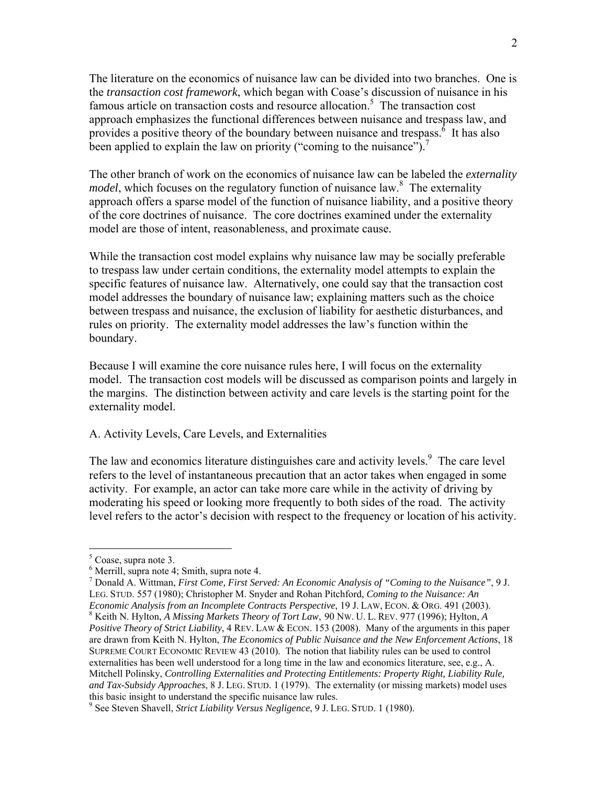The literature on the economics of nuisance law can be divided into two branches. One is the *transaction cost framework*, which began with Coase's discussion of nuisance in his famous article on transaction costs and resource allocation.<sup>5</sup> The transaction cost approach emphasizes the functional differences between nuisance and trespass law, and provides a positive theory of the boundary between nuisance and trespass. $\delta$  It has also been applied to explain the law on priority ("coming to the nuisance").<sup>7</sup>

The other branch of work on the economics of nuisance law can be labeled the *externality model*, which focuses on the regulatory function of nuisance law.<sup>8</sup> The externality approach offers a sparse model of the function of nuisance liability, and a positive theory of the core doctrines of nuisance. The core doctrines examined under the externality model are those of intent, reasonableness, and proximate cause.

While the transaction cost model explains why nuisance law may be socially preferable to trespass law under certain conditions, the externality model attempts to explain the specific features of nuisance law. Alternatively, one could say that the transaction cost model addresses the boundary of nuisance law; explaining matters such as the choice between trespass and nuisance, the exclusion of liability for aesthetic disturbances, and rules on priority. The externality model addresses the law's function within the boundary.

Because I will examine the core nuisance rules here, I will focus on the externality model. The transaction cost models will be discussed as comparison points and largely in the margins. The distinction between activity and care levels is the starting point for the externality model.

#### A. Activity Levels, Care Levels, and Externalities

The law and economics literature distinguishes care and activity levels.<sup>9</sup> The care level refers to the level of instantaneous precaution that an actor takes when engaged in some activity. For example, an actor can take more care while in the activity of driving by moderating his speed or looking more frequently to both sides of the road. The activity level refers to the actor's decision with respect to the frequency or location of his activity.

<sup>&</sup>lt;sup>5</sup> Coase, supra note 3.

<sup>6</sup> Merrill, supra note 4; Smith, supra note 4.

<sup>7</sup> Donald A. Wittman, *First Come, First Served: An Economic Analysis of "Coming to the Nuisance"*, 9 J. LEG. STUD. 557 (1980); Christopher M. Snyder and Rohan Pitchford, *Coming to the Nuisance: An* 

*Economic Analysis from an Incomplete Contracts Perspective*, 19 J. LAW, ECON. & ORG. 491 (2003). Keith N. Hylton, *A Missing Markets Theory of Tort Law*, 90 NW. U. L. REV. 977 (1996); Hylton, *A Positive Theory of Strict Liability*, 4 REV. LAW & ECON. 153 (2008). Many of the arguments in this paper are drawn from Keith N. Hylton, *The Economics of Public Nuisance and the New Enforcement Actions*, 18 SUPREME COURT ECONOMIC REVIEW 43 (2010). The notion that liability rules can be used to control externalities has been well understood for a long time in the law and economics literature, see, e.g., A. Mitchell Polinsky, *Controlling Externalities and Protecting Entitlements: Property Right, Liability Rule, and Tax-Subsidy Approaches*, 8 J. LEG. STUD. 1 (1979). The externality (or missing markets) model uses this basic insight to understand the specific nuisance law rules.

<sup>9</sup> See Steven Shavell, *Strict Liability Versus Negligence*, 9 J. LEG. STUD. 1 (1980).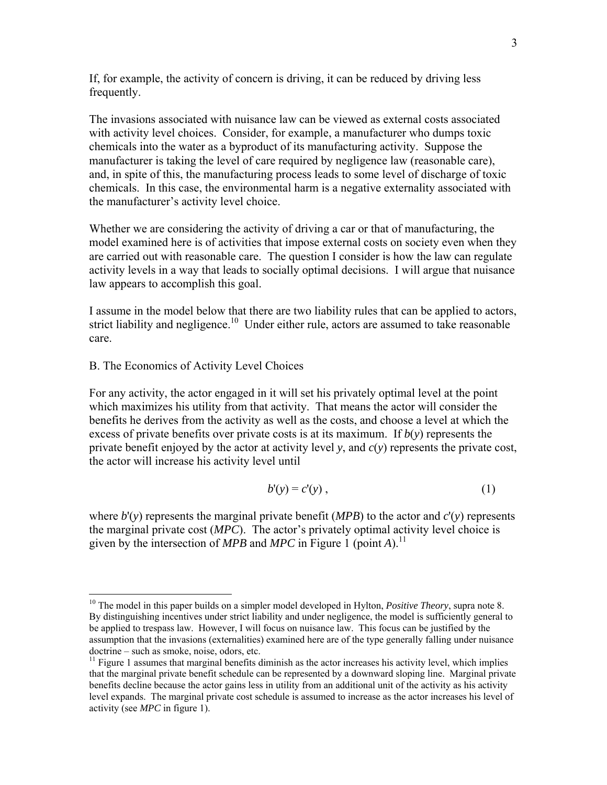If, for example, the activity of concern is driving, it can be reduced by driving less frequently.

The invasions associated with nuisance law can be viewed as external costs associated with activity level choices. Consider, for example, a manufacturer who dumps toxic chemicals into the water as a byproduct of its manufacturing activity. Suppose the manufacturer is taking the level of care required by negligence law (reasonable care), and, in spite of this, the manufacturing process leads to some level of discharge of toxic chemicals. In this case, the environmental harm is a negative externality associated with the manufacturer's activity level choice.

Whether we are considering the activity of driving a car or that of manufacturing, the model examined here is of activities that impose external costs on society even when they are carried out with reasonable care. The question I consider is how the law can regulate activity levels in a way that leads to socially optimal decisions. I will argue that nuisance law appears to accomplish this goal.

I assume in the model below that there are two liability rules that can be applied to actors, strict liability and negligence.<sup>10</sup> Under either rule, actors are assumed to take reasonable care.

#### B. The Economics of Activity Level Choices

 $\overline{a}$ 

For any activity, the actor engaged in it will set his privately optimal level at the point which maximizes his utility from that activity. That means the actor will consider the benefits he derives from the activity as well as the costs, and choose a level at which the excess of private benefits over private costs is at its maximum. If  $b(y)$  represents the private benefit enjoyed by the actor at activity level *y*, and *c*(*y*) represents the private cost, the actor will increase his activity level until

$$
b'(y) = c'(y) , \qquad (1)
$$

where  $b'(y)$  represents the marginal private benefit (*MPB*) to the actor and  $c'(y)$  represents the marginal private cost (*MPC*). The actor's privately optimal activity level choice is given by the intersection of *MPB* and *MPC* in Figure 1 (point *A*).<sup>11</sup>

<sup>&</sup>lt;sup>10</sup> The model in this paper builds on a simpler model developed in Hylton, *Positive Theory*, supra note 8. By distinguishing incentives under strict liability and under negligence, the model is sufficiently general to be applied to trespass law. However, I will focus on nuisance law. This focus can be justified by the assumption that the invasions (externalities) examined here are of the type generally falling under nuisance doctrine – such as smoke, noise, odors, etc.

 $11$  Figure 1 assumes that marginal benefits diminish as the actor increases his activity level, which implies that the marginal private benefit schedule can be represented by a downward sloping line. Marginal private benefits decline because the actor gains less in utility from an additional unit of the activity as his activity level expands. The marginal private cost schedule is assumed to increase as the actor increases his level of activity (see *MPC* in figure 1).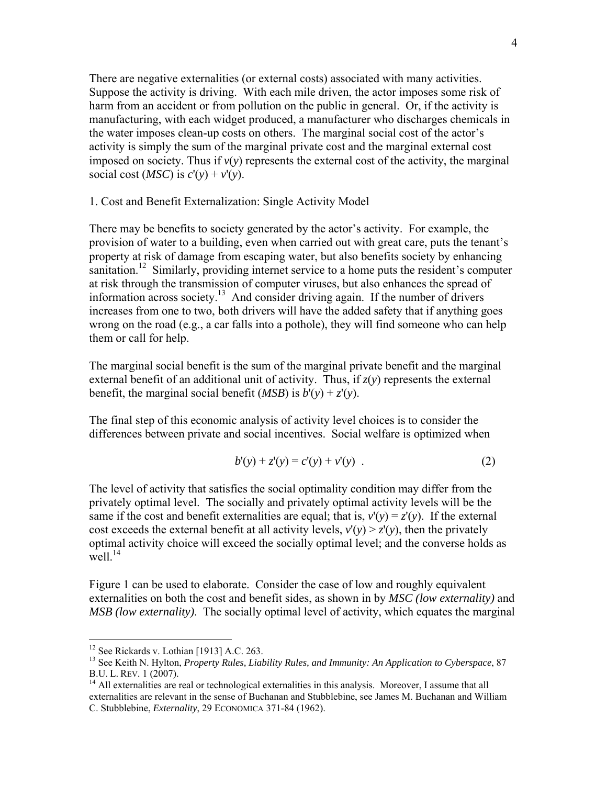There are negative externalities (or external costs) associated with many activities. Suppose the activity is driving. With each mile driven, the actor imposes some risk of harm from an accident or from pollution on the public in general. Or, if the activity is manufacturing, with each widget produced, a manufacturer who discharges chemicals in the water imposes clean-up costs on others. The marginal social cost of the actor's activity is simply the sum of the marginal private cost and the marginal external cost imposed on society. Thus if  $v(y)$  represents the external cost of the activity, the marginal social cost (*MSC*) is  $c'(y) + v'(y)$ .

1. Cost and Benefit Externalization: Single Activity Model

There may be benefits to society generated by the actor's activity. For example, the provision of water to a building, even when carried out with great care, puts the tenant's property at risk of damage from escaping water, but also benefits society by enhancing sanitation.<sup>12</sup> Similarly, providing internet service to a home puts the resident's computer at risk through the transmission of computer viruses, but also enhances the spread of information across society.13 And consider driving again. If the number of drivers increases from one to two, both drivers will have the added safety that if anything goes wrong on the road (e.g., a car falls into a pothole), they will find someone who can help them or call for help.

The marginal social benefit is the sum of the marginal private benefit and the marginal external benefit of an additional unit of activity. Thus, if *z*(*y*) represents the external benefit, the marginal social benefit (*MSB*) is  $b'(y) + z'(y)$ .

The final step of this economic analysis of activity level choices is to consider the differences between private and social incentives. Social welfare is optimized when

$$
b'(y) + z'(y) = c'(y) + v'(y) . \tag{2}
$$

The level of activity that satisfies the social optimality condition may differ from the privately optimal level. The socially and privately optimal activity levels will be the same if the cost and benefit externalities are equal; that is,  $v'(y) = z'(y)$ . If the external cost exceeds the external benefit at all activity levels,  $v'(y) > z'(y)$ , then the privately optimal activity choice will exceed the socially optimal level; and the converse holds as well. $^{14}$ 

Figure 1 can be used to elaborate. Consider the case of low and roughly equivalent externalities on both the cost and benefit sides, as shown in by *MSC (low externality)* and *MSB (low externality)*. The socially optimal level of activity, which equates the marginal

<sup>1</sup>  $12$  See Rickards v. Lothian [1913] A.C. 263.

<sup>&</sup>lt;sup>13</sup> See Keith N. Hylton, *Property Rules, Liability Rules, and Immunity: An Application to Cyberspace*, 87 **B.U. L. REV.** 1 (2007).

 $<sup>14</sup>$  All externalities are real or technological externalities in this analysis. Moreover, I assume that all</sup> externalities are relevant in the sense of Buchanan and Stubblebine, see James M. Buchanan and William C. Stubblebine, *Externality*, 29 ECONOMICA 371-84 (1962).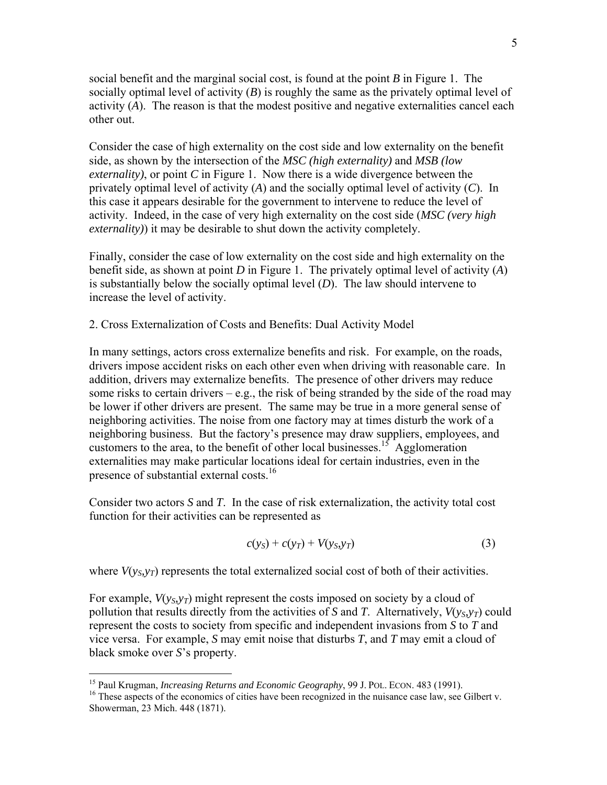social benefit and the marginal social cost, is found at the point *B* in Figure 1. The socially optimal level of activity (*B*) is roughly the same as the privately optimal level of activity (*A*). The reason is that the modest positive and negative externalities cancel each other out.

Consider the case of high externality on the cost side and low externality on the benefit side, as shown by the intersection of the *MSC (high externality)* and *MSB (low externality)*, or point *C* in Figure 1. Now there is a wide divergence between the privately optimal level of activity (*A*) and the socially optimal level of activity (*C*). In this case it appears desirable for the government to intervene to reduce the level of activity. Indeed, in the case of very high externality on the cost side (*MSC (very high externality)*) it may be desirable to shut down the activity completely.

Finally, consider the case of low externality on the cost side and high externality on the benefit side, as shown at point *D* in Figure 1. The privately optimal level of activity  $(A)$ is substantially below the socially optimal level (*D*). The law should intervene to increase the level of activity.

2. Cross Externalization of Costs and Benefits: Dual Activity Model

In many settings, actors cross externalize benefits and risk. For example, on the roads, drivers impose accident risks on each other even when driving with reasonable care. In addition, drivers may externalize benefits. The presence of other drivers may reduce some risks to certain drivers – e.g., the risk of being stranded by the side of the road may be lower if other drivers are present. The same may be true in a more general sense of neighboring activities. The noise from one factory may at times disturb the work of a neighboring business. But the factory's presence may draw suppliers, employees, and customers to the area, to the benefit of other local businesses.<sup>15</sup> Agglomeration externalities may make particular locations ideal for certain industries, even in the presence of substantial external costs.<sup>16</sup>

Consider two actors *S* and *T*. In the case of risk externalization, the activity total cost function for their activities can be represented as

$$
c(yS) + c(yT) + V(yS, yT)
$$
\n(3)

where  $V(y_S, y_T)$  represents the total externalized social cost of both of their activities.

For example,  $V(y_S, y_T)$  might represent the costs imposed on society by a cloud of pollution that results directly from the activities of *S* and *T*. Alternatively,  $V(y_S, y_T)$  could represent the costs to society from specific and independent invasions from *S* to *T* and vice versa. For example, *S* may emit noise that disturbs *T*, and *T* may emit a cloud of black smoke over *S*'s property.

1

<sup>&</sup>lt;sup>15</sup> Paul Krugman, *Increasing Returns and Economic Geography*, 99 J. POL. ECON. 483 (1991).<br><sup>16</sup> These aspects of the economics of cities have been recognized in the nuisance case law, see Gilbert v. Showerman, 23 Mich. 448 (1871).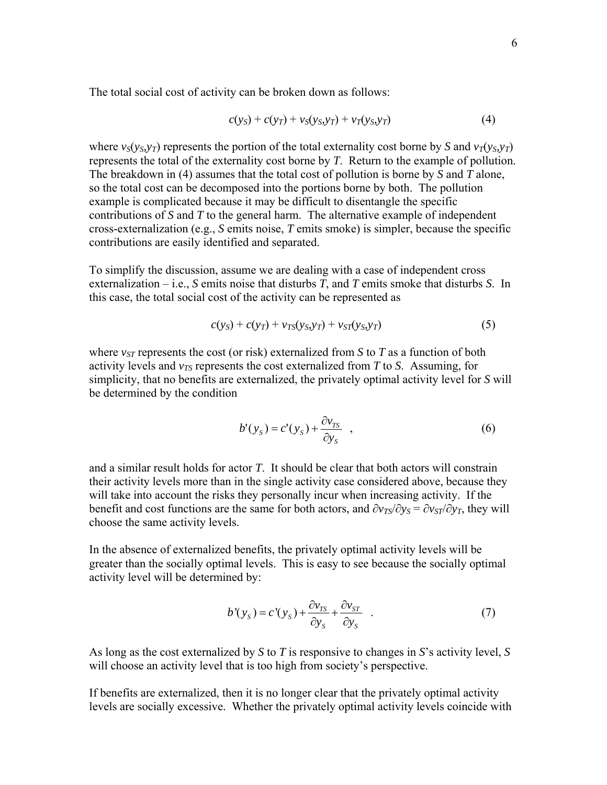The total social cost of activity can be broken down as follows:

$$
c(y_S) + c(y_T) + v_S(y_S, y_T) + v_T(y_S, y_T)
$$
\n(4)

where  $v_S(y_S, y_T)$  represents the portion of the total externality cost borne by *S* and  $v_T(y_S, y_T)$ represents the total of the externality cost borne by *T*. Return to the example of pollution. The breakdown in (4) assumes that the total cost of pollution is borne by *S* and *T* alone, so the total cost can be decomposed into the portions borne by both. The pollution example is complicated because it may be difficult to disentangle the specific contributions of *S* and *T* to the general harm. The alternative example of independent cross-externalization (e.g., *S* emits noise, *T* emits smoke) is simpler, because the specific contributions are easily identified and separated.

To simplify the discussion, assume we are dealing with a case of independent cross externalization – i.e., *S* emits noise that disturbs *T*, and *T* emits smoke that disturbs *S*. In this case, the total social cost of the activity can be represented as

$$
c(y_S) + c(y_T) + v_{TS}(y_S, y_T) + v_{ST}(y_S, y_T)
$$
\n(5)

where  $v_{ST}$  represents the cost (or risk) externalized from *S* to *T* as a function of both activity levels and  $v_{TS}$  represents the cost externalized from  $T$  to  $S$ . Assuming, for simplicity, that no benefits are externalized, the privately optimal activity level for *S* will be determined by the condition

$$
b'(y_s) = c'(y_s) + \frac{\partial v_{TS}}{\partial y_s} \quad , \tag{6}
$$

and a similar result holds for actor *T*. It should be clear that both actors will constrain their activity levels more than in the single activity case considered above, because they will take into account the risks they personally incur when increasing activity. If the benefit and cost functions are the same for both actors, and  $\partial v_{TS}/\partial y_S = \partial v_{ST}/\partial y_T$ , they will choose the same activity levels.

In the absence of externalized benefits, the privately optimal activity levels will be greater than the socially optimal levels. This is easy to see because the socially optimal activity level will be determined by:

$$
b'(y_s) = c'(y_s) + \frac{\partial v_{rs}}{\partial y_s} + \frac{\partial v_{sr}}{\partial y_s} \quad . \tag{7}
$$

As long as the cost externalized by *S* to *T* is responsive to changes in *S*'s activity level, *S* will choose an activity level that is too high from society's perspective.

If benefits are externalized, then it is no longer clear that the privately optimal activity levels are socially excessive. Whether the privately optimal activity levels coincide with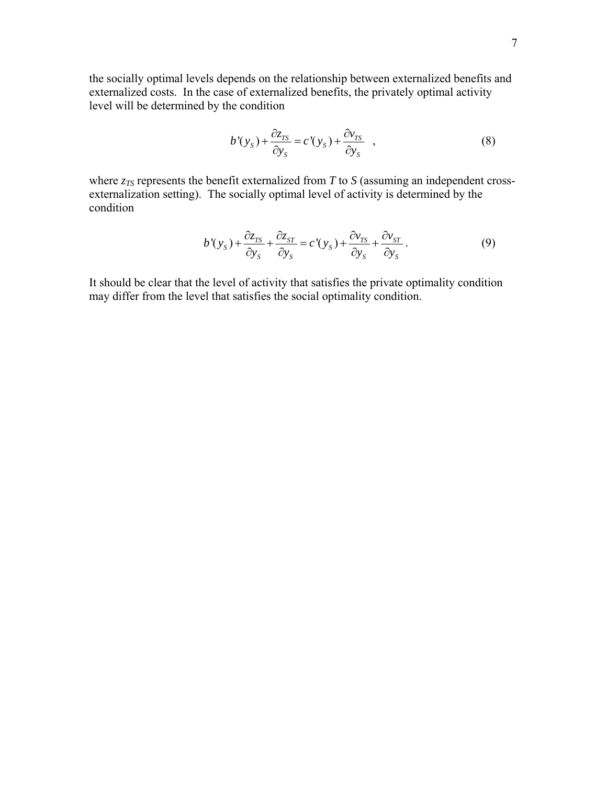the socially optimal levels depends on the relationship between externalized benefits and externalized costs. In the case of externalized benefits, the privately optimal activity level will be determined by the condition

$$
b'(y_s) + \frac{\partial z_{TS}}{\partial y_s} = c'(y_s) + \frac{\partial v_{TS}}{\partial y_s} \quad , \tag{8}
$$

where  $z_{TS}$  represents the benefit externalized from  $T$  to  $S$  (assuming an independent crossexternalization setting). The socially optimal level of activity is determined by the condition

$$
b'(y_s) + \frac{\partial z_{rs}}{\partial y_s} + \frac{\partial z_{sr}}{\partial y_s} = c'(y_s) + \frac{\partial v_{rs}}{\partial y_s} + \frac{\partial v_{sr}}{\partial y_s}.
$$
 (9)

It should be clear that the level of activity that satisfies the private optimality condition may differ from the level that satisfies the social optimality condition.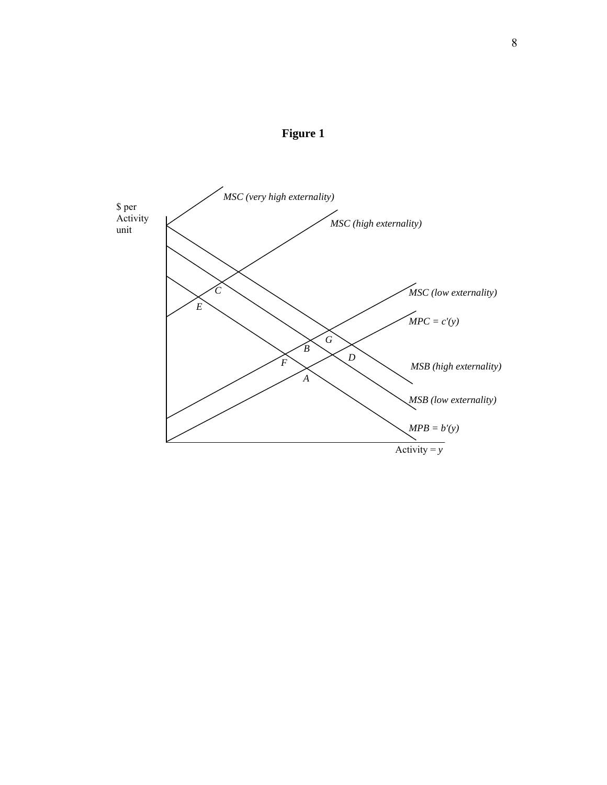

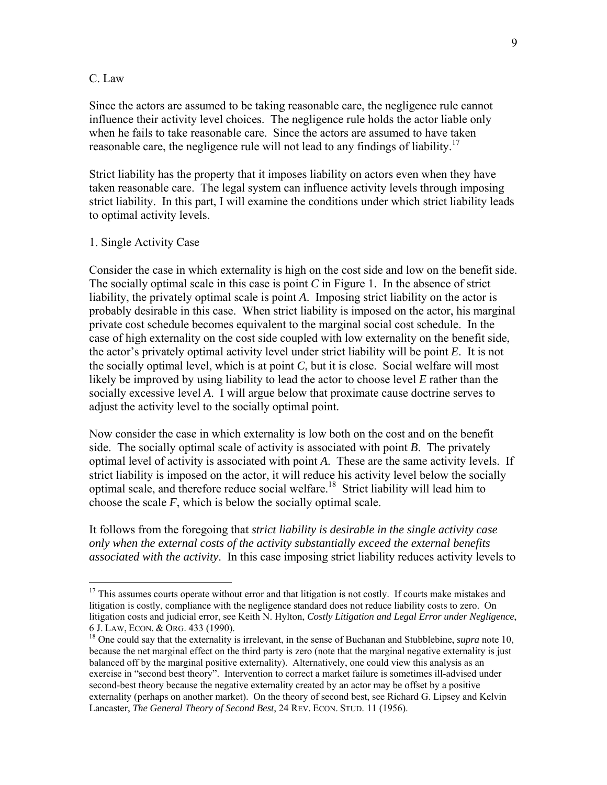# C. Law

 $\overline{a}$ 

Since the actors are assumed to be taking reasonable care, the negligence rule cannot influence their activity level choices. The negligence rule holds the actor liable only when he fails to take reasonable care. Since the actors are assumed to have taken reasonable care, the negligence rule will not lead to any findings of liability.<sup>17</sup>

Strict liability has the property that it imposes liability on actors even when they have taken reasonable care. The legal system can influence activity levels through imposing strict liability. In this part, I will examine the conditions under which strict liability leads to optimal activity levels.

#### 1. Single Activity Case

Consider the case in which externality is high on the cost side and low on the benefit side. The socially optimal scale in this case is point *C* in Figure 1. In the absence of strict liability, the privately optimal scale is point *A*. Imposing strict liability on the actor is probably desirable in this case. When strict liability is imposed on the actor, his marginal private cost schedule becomes equivalent to the marginal social cost schedule. In the case of high externality on the cost side coupled with low externality on the benefit side, the actor's privately optimal activity level under strict liability will be point *E*. It is not the socially optimal level, which is at point  $C$ , but it is close. Social welfare will most likely be improved by using liability to lead the actor to choose level *E* rather than the socially excessive level *A*. I will argue below that proximate cause doctrine serves to adjust the activity level to the socially optimal point.

Now consider the case in which externality is low both on the cost and on the benefit side. The socially optimal scale of activity is associated with point *B*. The privately optimal level of activity is associated with point *A*. These are the same activity levels. If strict liability is imposed on the actor, it will reduce his activity level below the socially optimal scale, and therefore reduce social welfare.18 Strict liability will lead him to choose the scale *F*, which is below the socially optimal scale.

It follows from the foregoing that *strict liability is desirable in the single activity case only when the external costs of the activity substantially exceed the external benefits associated with the activity*. In this case imposing strict liability reduces activity levels to

 $17$  This assumes courts operate without error and that litigation is not costly. If courts make mistakes and litigation is costly, compliance with the negligence standard does not reduce liability costs to zero. On litigation costs and judicial error, see Keith N. Hylton, *Costly Litigation and Legal Error under Negligence*, 6 J. LAW, ECON. & ORG. 433 (1990).<br><sup>18</sup> One could say that the externality is irrelevant, in the sense of Buchanan and Stubblebine, *supra* note 10,

because the net marginal effect on the third party is zero (note that the marginal negative externality is just balanced off by the marginal positive externality). Alternatively, one could view this analysis as an exercise in "second best theory". Intervention to correct a market failure is sometimes ill-advised under second-best theory because the negative externality created by an actor may be offset by a positive externality (perhaps on another market). On the theory of second best, see Richard G. Lipsey and Kelvin Lancaster, *The General Theory of Second Best*, 24 REV. ECON. STUD. 11 (1956).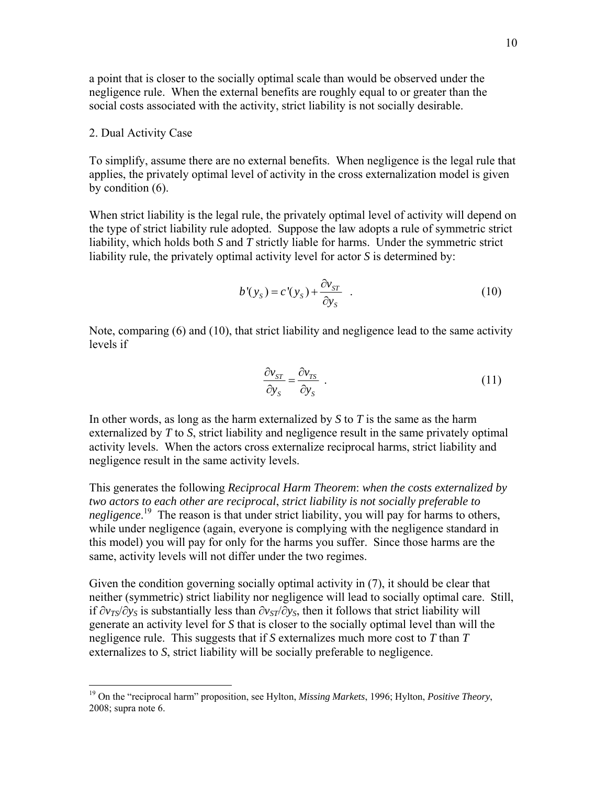a point that is closer to the socially optimal scale than would be observed under the negligence rule. When the external benefits are roughly equal to or greater than the social costs associated with the activity, strict liability is not socially desirable.

#### 2. Dual Activity Case

1

To simplify, assume there are no external benefits. When negligence is the legal rule that applies, the privately optimal level of activity in the cross externalization model is given by condition (6).

When strict liability is the legal rule, the privately optimal level of activity will depend on the type of strict liability rule adopted. Suppose the law adopts a rule of symmetric strict liability, which holds both *S* and *T* strictly liable for harms. Under the symmetric strict liability rule, the privately optimal activity level for actor *S* is determined by:

$$
b'(y_s) = c'(y_s) + \frac{\partial v_{ST}}{\partial y_s} \quad . \tag{10}
$$

Note, comparing (6) and (10), that strict liability and negligence lead to the same activity levels if

$$
\frac{\partial v_{ST}}{\partial y_s} = \frac{\partial v_{TS}}{\partial y_s} \tag{11}
$$

In other words, as long as the harm externalized by *S* to *T* is the same as the harm externalized by *T* to *S*, strict liability and negligence result in the same privately optimal activity levels. When the actors cross externalize reciprocal harms, strict liability and negligence result in the same activity levels.

This generates the following *Reciprocal Harm Theorem*: *when the costs externalized by two actors to each other are reciprocal*, *strict liability is not socially preferable to negligence*. 19 The reason is that under strict liability, you will pay for harms to others, while under negligence (again, everyone is complying with the negligence standard in this model) you will pay for only for the harms you suffer. Since those harms are the same, activity levels will not differ under the two regimes.

Given the condition governing socially optimal activity in (7), it should be clear that neither (symmetric) strict liability nor negligence will lead to socially optimal care. Still, if  $\partial v_{TS}/\partial y_S$  is substantially less than  $\partial v_{ST}/\partial y_S$ , then it follows that strict liability will generate an activity level for *S* that is closer to the socially optimal level than will the negligence rule. This suggests that if *S* externalizes much more cost to *T* than *T* externalizes to *S*, strict liability will be socially preferable to negligence.

<sup>19</sup> On the "reciprocal harm" proposition, see Hylton, *Missing Markets*, 1996; Hylton, *Positive Theory*, 2008; supra note 6.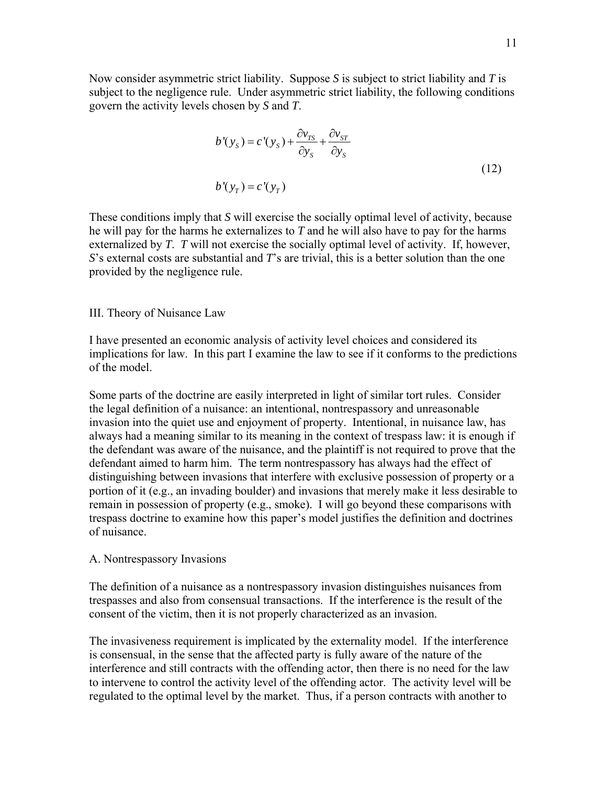Now consider asymmetric strict liability. Suppose *S* is subject to strict liability and *T* is subject to the negligence rule. Under asymmetric strict liability, the following conditions govern the activity levels chosen by *S* and *T*.

$$
b'(y_s) = c'(y_s) + \frac{\partial v_{rs}}{\partial y_s} + \frac{\partial v_{sr}}{\partial y_s}
$$
  

$$
b'(y_r) = c'(y_r)
$$
 (12)

These conditions imply that *S* will exercise the socially optimal level of activity, because he will pay for the harms he externalizes to *T* and he will also have to pay for the harms externalized by *T*. *T* will not exercise the socially optimal level of activity. If, however, *S*'s external costs are substantial and *T*'s are trivial, this is a better solution than the one provided by the negligence rule.

# III. Theory of Nuisance Law

I have presented an economic analysis of activity level choices and considered its implications for law. In this part I examine the law to see if it conforms to the predictions of the model.

Some parts of the doctrine are easily interpreted in light of similar tort rules. Consider the legal definition of a nuisance: an intentional, nontrespassory and unreasonable invasion into the quiet use and enjoyment of property. Intentional, in nuisance law, has always had a meaning similar to its meaning in the context of trespass law: it is enough if the defendant was aware of the nuisance, and the plaintiff is not required to prove that the defendant aimed to harm him. The term nontrespassory has always had the effect of distinguishing between invasions that interfere with exclusive possession of property or a portion of it (e.g., an invading boulder) and invasions that merely make it less desirable to remain in possession of property (e.g., smoke). I will go beyond these comparisons with trespass doctrine to examine how this paper's model justifies the definition and doctrines of nuisance.

#### A. Nontrespassory Invasions

The definition of a nuisance as a nontrespassory invasion distinguishes nuisances from trespasses and also from consensual transactions. If the interference is the result of the consent of the victim, then it is not properly characterized as an invasion.

The invasiveness requirement is implicated by the externality model. If the interference is consensual, in the sense that the affected party is fully aware of the nature of the interference and still contracts with the offending actor, then there is no need for the law to intervene to control the activity level of the offending actor. The activity level will be regulated to the optimal level by the market. Thus, if a person contracts with another to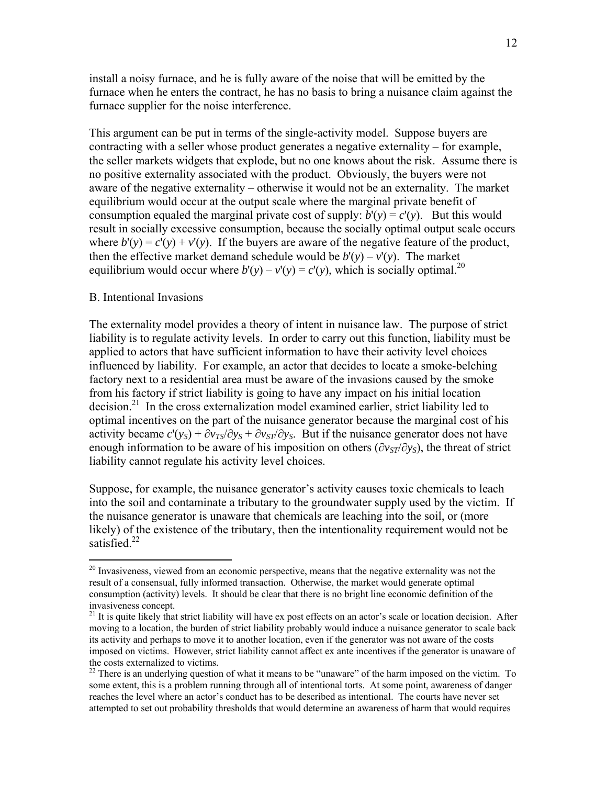install a noisy furnace, and he is fully aware of the noise that will be emitted by the furnace when he enters the contract, he has no basis to bring a nuisance claim against the furnace supplier for the noise interference.

This argument can be put in terms of the single-activity model. Suppose buyers are contracting with a seller whose product generates a negative externality – for example, the seller markets widgets that explode, but no one knows about the risk. Assume there is no positive externality associated with the product. Obviously, the buyers were not aware of the negative externality – otherwise it would not be an externality. The market equilibrium would occur at the output scale where the marginal private benefit of consumption equaled the marginal private cost of supply:  $b'(y) = c'(y)$ . But this would result in socially excessive consumption, because the socially optimal output scale occurs where  $b'(y) = c'(y) + v'(y)$ . If the buyers are aware of the negative feature of the product, then the effective market demand schedule would be  $b'(y) - v'(y)$ . The market equilibrium would occur where  $b'(y) - v'(y) = c'(y)$ , which is socially optimal.<sup>20</sup>

#### B. Intentional Invasions

1

The externality model provides a theory of intent in nuisance law. The purpose of strict liability is to regulate activity levels. In order to carry out this function, liability must be applied to actors that have sufficient information to have their activity level choices influenced by liability. For example, an actor that decides to locate a smoke-belching factory next to a residential area must be aware of the invasions caused by the smoke from his factory if strict liability is going to have any impact on his initial location  $\frac{1}{2}$  ln the cross externalization model examined earlier, strict liability led to optimal incentives on the part of the nuisance generator because the marginal cost of his activity became  $c'(y_S) + \frac{\partial v_{TS}}{\partial y_S} + \frac{\partial v_{ST}}{\partial y_S}$ . But if the nuisance generator does not have enough information to be aware of his imposition on others ( $\partial v_{ST}/\partial v_s$ ), the threat of strict liability cannot regulate his activity level choices.

Suppose, for example, the nuisance generator's activity causes toxic chemicals to leach into the soil and contaminate a tributary to the groundwater supply used by the victim. If the nuisance generator is unaware that chemicals are leaching into the soil, or (more likely) of the existence of the tributary, then the intentionality requirement would not be satisfied.<sup>22</sup>

 $20$  Invasiveness, viewed from an economic perspective, means that the negative externality was not the result of a consensual, fully informed transaction. Otherwise, the market would generate optimal consumption (activity) levels. It should be clear that there is no bright line economic definition of the invasiveness concept.

<sup>&</sup>lt;sup>21</sup> It is quite likely that strict liability will have ex post effects on an actor's scale or location decision. After moving to a location, the burden of strict liability probably would induce a nuisance generator to scale back its activity and perhaps to move it to another location, even if the generator was not aware of the costs imposed on victims. However, strict liability cannot affect ex ante incentives if the generator is unaware of the costs externalized to victims.

<sup>&</sup>lt;sup>22</sup> There is an underlying question of what it means to be "unaware" of the harm imposed on the victim. To some extent, this is a problem running through all of intentional torts. At some point, awareness of danger reaches the level where an actor's conduct has to be described as intentional. The courts have never set attempted to set out probability thresholds that would determine an awareness of harm that would requires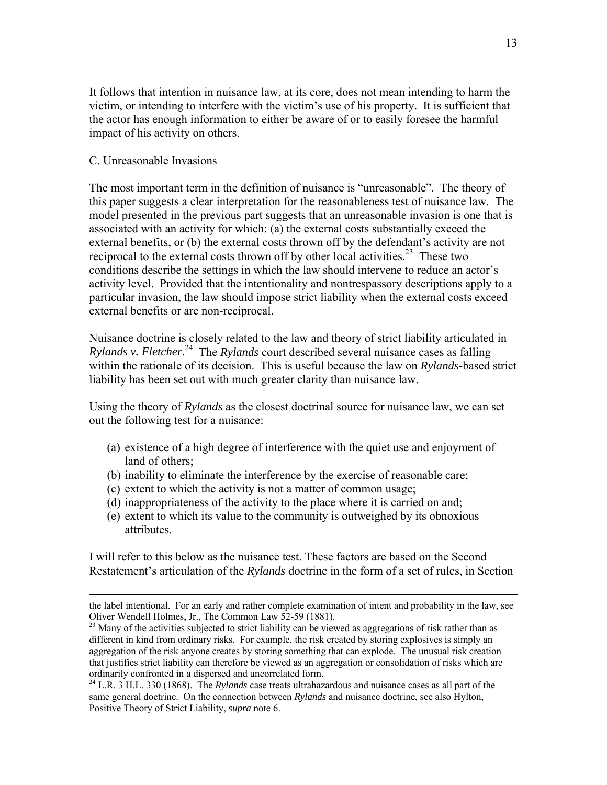It follows that intention in nuisance law, at its core, does not mean intending to harm the victim, or intending to interfere with the victim's use of his property. It is sufficient that the actor has enough information to either be aware of or to easily foresee the harmful impact of his activity on others.

# C. Unreasonable Invasions

The most important term in the definition of nuisance is "unreasonable". The theory of this paper suggests a clear interpretation for the reasonableness test of nuisance law. The model presented in the previous part suggests that an unreasonable invasion is one that is associated with an activity for which: (a) the external costs substantially exceed the external benefits, or (b) the external costs thrown off by the defendant's activity are not reciprocal to the external costs thrown off by other local activities.<sup>23</sup> These two conditions describe the settings in which the law should intervene to reduce an actor's activity level. Provided that the intentionality and nontrespassory descriptions apply to a particular invasion, the law should impose strict liability when the external costs exceed external benefits or are non-reciprocal.

Nuisance doctrine is closely related to the law and theory of strict liability articulated in *Rylands v. Fletcher*. 24 The *Rylands* court described several nuisance cases as falling within the rationale of its decision. This is useful because the law on *Rylands*-based strict liability has been set out with much greater clarity than nuisance law.

Using the theory of *Rylands* as the closest doctrinal source for nuisance law, we can set out the following test for a nuisance:

- (a) existence of a high degree of interference with the quiet use and enjoyment of land of others;
- (b) inability to eliminate the interference by the exercise of reasonable care;
- (c) extent to which the activity is not a matter of common usage;
- (d) inappropriateness of the activity to the place where it is carried on and;
- (e) extent to which its value to the community is outweighed by its obnoxious attributes.

I will refer to this below as the nuisance test. These factors are based on the Second Restatement's articulation of the *Rylands* doctrine in the form of a set of rules, in Section

the label intentional. For an early and rather complete examination of intent and probability in the law, see Oliver Wendell Holmes, Jr., The Common Law 52-59 (1881).

<sup>&</sup>lt;sup>23</sup> Many of the activities subjected to strict liability can be viewed as aggregations of risk rather than as different in kind from ordinary risks. For example, the risk created by storing explosives is simply an aggregation of the risk anyone creates by storing something that can explode. The unusual risk creation that justifies strict liability can therefore be viewed as an aggregation or consolidation of risks which are ordinarily confronted in a dispersed and uncorrelated form.

<sup>24</sup> L.R. 3 H.L. 330 (1868). The *Rylands* case treats ultrahazardous and nuisance cases as all part of the same general doctrine. On the connection between *Rylands* and nuisance doctrine, see also Hylton, Positive Theory of Strict Liability, *supra* note 6.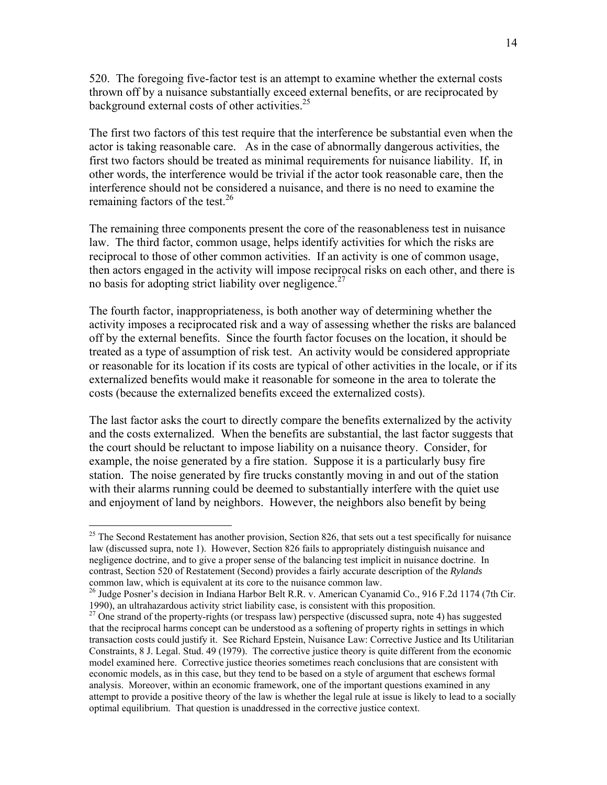520. The foregoing five-factor test is an attempt to examine whether the external costs thrown off by a nuisance substantially exceed external benefits, or are reciprocated by background external costs of other activities.<sup>25</sup>

The first two factors of this test require that the interference be substantial even when the actor is taking reasonable care. As in the case of abnormally dangerous activities, the first two factors should be treated as minimal requirements for nuisance liability. If, in other words, the interference would be trivial if the actor took reasonable care, then the interference should not be considered a nuisance, and there is no need to examine the remaining factors of the test.<sup>26</sup>

The remaining three components present the core of the reasonableness test in nuisance law. The third factor, common usage, helps identify activities for which the risks are reciprocal to those of other common activities. If an activity is one of common usage, then actors engaged in the activity will impose reciprocal risks on each other, and there is no basis for adopting strict liability over negligence.<sup>27</sup>

The fourth factor, inappropriateness, is both another way of determining whether the activity imposes a reciprocated risk and a way of assessing whether the risks are balanced off by the external benefits. Since the fourth factor focuses on the location, it should be treated as a type of assumption of risk test. An activity would be considered appropriate or reasonable for its location if its costs are typical of other activities in the locale, or if its externalized benefits would make it reasonable for someone in the area to tolerate the costs (because the externalized benefits exceed the externalized costs).

The last factor asks the court to directly compare the benefits externalized by the activity and the costs externalized. When the benefits are substantial, the last factor suggests that the court should be reluctant to impose liability on a nuisance theory. Consider, for example, the noise generated by a fire station. Suppose it is a particularly busy fire station. The noise generated by fire trucks constantly moving in and out of the station with their alarms running could be deemed to substantially interfere with the quiet use and enjoyment of land by neighbors. However, the neighbors also benefit by being

 $25$  The Second Restatement has another provision, Section 826, that sets out a test specifically for nuisance law (discussed supra, note 1). However, Section 826 fails to appropriately distinguish nuisance and negligence doctrine, and to give a proper sense of the balancing test implicit in nuisance doctrine. In contrast, Section 520 of Restatement (Second) provides a fairly accurate description of the *Rylands* common law, which is equivalent at its core to the nuisance common law.

<sup>&</sup>lt;sup>26</sup> Judge Posner's decision in Indiana Harbor Belt R.R. v. American Cyanamid Co., 916 F.2d 1174 (7th Cir. 1990), an ultrahazardous activity strict liability case, is consistent with this proposition.

<sup>&</sup>lt;sup>27</sup> One strand of the property-rights (or trespass law) perspective (discussed supra, note 4) has suggested that the reciprocal harms concept can be understood as a softening of property rights in settings in which transaction costs could justify it. See Richard Epstein, Nuisance Law: Corrective Justice and Its Utilitarian Constraints, 8 J. Legal. Stud. 49 (1979). The corrective justice theory is quite different from the economic model examined here. Corrective justice theories sometimes reach conclusions that are consistent with economic models, as in this case, but they tend to be based on a style of argument that eschews formal analysis. Moreover, within an economic framework, one of the important questions examined in any attempt to provide a positive theory of the law is whether the legal rule at issue is likely to lead to a socially optimal equilibrium. That question is unaddressed in the corrective justice context.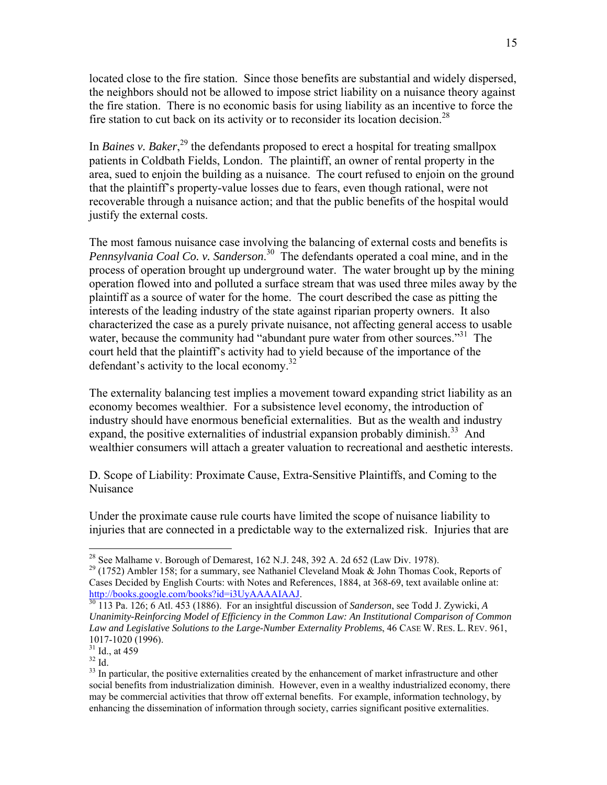located close to the fire station. Since those benefits are substantial and widely dispersed, the neighbors should not be allowed to impose strict liability on a nuisance theory against the fire station. There is no economic basis for using liability as an incentive to force the fire station to cut back on its activity or to reconsider its location decision.<sup>28</sup>

In *Baines v. Baker*,<sup>29</sup> the defendants proposed to erect a hospital for treating smallpox patients in Coldbath Fields, London. The plaintiff, an owner of rental property in the area, sued to enjoin the building as a nuisance. The court refused to enjoin on the ground that the plaintiff's property-value losses due to fears, even though rational, were not recoverable through a nuisance action; and that the public benefits of the hospital would justify the external costs.

The most famous nuisance case involving the balancing of external costs and benefits is *Pennsylvania Coal Co. v. Sanderson*. 30 The defendants operated a coal mine, and in the process of operation brought up underground water. The water brought up by the mining operation flowed into and polluted a surface stream that was used three miles away by the plaintiff as a source of water for the home. The court described the case as pitting the interests of the leading industry of the state against riparian property owners. It also characterized the case as a purely private nuisance, not affecting general access to usable water, because the community had "abundant pure water from other sources."<sup>31</sup> The court held that the plaintiff's activity had to yield because of the importance of the defendant's activity to the local economy.<sup>32</sup>

The externality balancing test implies a movement toward expanding strict liability as an economy becomes wealthier. For a subsistence level economy, the introduction of industry should have enormous beneficial externalities. But as the wealth and industry expand, the positive externalities of industrial expansion probably diminish.<sup>33</sup> And wealthier consumers will attach a greater valuation to recreational and aesthetic interests.

D. Scope of Liability: Proximate Cause, Extra-Sensitive Plaintiffs, and Coming to the Nuisance

Under the proximate cause rule courts have limited the scope of nuisance liability to injuries that are connected in a predictable way to the externalized risk. Injuries that are

<sup>&</sup>lt;sup>28</sup> See Malhame v. Borough of Demarest,  $162$  N.J. 248, 392 A. 2d  $652$  (Law Div. 1978).

 $29$  (1752) Ambler 158; for a summary, see Nathaniel Cleveland Moak & John Thomas Cook, Reports of Cases Decided by English Courts: with Notes and References, 1884, at 368-69, text available online at: http://books.google.com/books?id=i3UyAAAAIAAJ. 30 113 Pa. 126; 6 Atl. 453 (1886). For an insightful discussion of *Sanderson*, see Todd J. Zywicki, *<sup>A</sup>*

*Unanimity-Reinforcing Model of Efficiency in the Common Law: An Institutional Comparison of Common Law and Legislative Solutions to the Large-Number Externality Problems*, 46 CASE W. RES. L. REV. 961, 1017-1020 (1996).

 $31$  Id., at 459

 $32$  Id.

 $33$  In particular, the positive externalities created by the enhancement of market infrastructure and other social benefits from industrialization diminish. However, even in a wealthy industrialized economy, there may be commercial activities that throw off external benefits. For example, information technology, by enhancing the dissemination of information through society, carries significant positive externalities.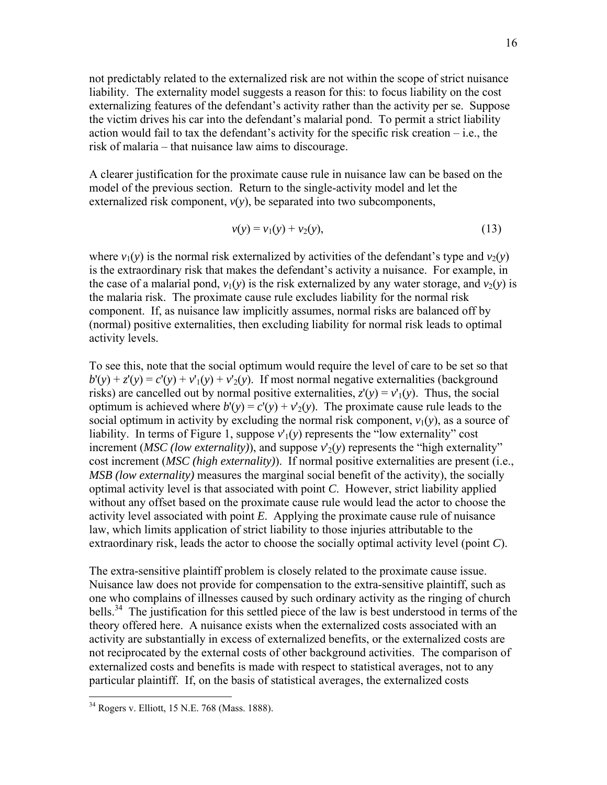not predictably related to the externalized risk are not within the scope of strict nuisance liability. The externality model suggests a reason for this: to focus liability on the cost externalizing features of the defendant's activity rather than the activity per se. Suppose the victim drives his car into the defendant's malarial pond. To permit a strict liability action would fail to tax the defendant's activity for the specific risk creation – i.e., the risk of malaria – that nuisance law aims to discourage.

A clearer justification for the proximate cause rule in nuisance law can be based on the model of the previous section. Return to the single-activity model and let the externalized risk component,  $v(y)$ , be separated into two subcomponents,

$$
v(y) = v_1(y) + v_2(y),
$$
 (13)

where  $v_1(y)$  is the normal risk externalized by activities of the defendant's type and  $v_2(y)$ is the extraordinary risk that makes the defendant's activity a nuisance. For example, in the case of a malarial pond,  $v_1(y)$  is the risk externalized by any water storage, and  $v_2(y)$  is the malaria risk. The proximate cause rule excludes liability for the normal risk component. If, as nuisance law implicitly assumes, normal risks are balanced off by (normal) positive externalities, then excluding liability for normal risk leads to optimal activity levels.

To see this, note that the social optimum would require the level of care to be set so that  $b'(y) + z'(y) = c'(y) + v'(y) + v'(z(y))$ . If most normal negative externalities (background risks) are cancelled out by normal positive externalities,  $z'(y) = v'(y)$ . Thus, the social optimum is achieved where  $b'(y) = c'(y) + v'(y)$ . The proximate cause rule leads to the social optimum in activity by excluding the normal risk component,  $v_1(y)$ , as a source of liability. In terms of Figure 1, suppose  $v'(y)$  represents the "low externality" cost increment (*MSC* (low externality)), and suppose  $v'(y)$  represents the "high externality" cost increment (*MSC (high externality)*). If normal positive externalities are present (i.e., *MSB (low externality)* measures the marginal social benefit of the activity), the socially optimal activity level is that associated with point *C*. However, strict liability applied without any offset based on the proximate cause rule would lead the actor to choose the activity level associated with point *E*. Applying the proximate cause rule of nuisance law, which limits application of strict liability to those injuries attributable to the extraordinary risk, leads the actor to choose the socially optimal activity level (point *C*).

The extra-sensitive plaintiff problem is closely related to the proximate cause issue. Nuisance law does not provide for compensation to the extra-sensitive plaintiff, such as one who complains of illnesses caused by such ordinary activity as the ringing of church bells.<sup>34</sup> The justification for this settled piece of the law is best understood in terms of the theory offered here. A nuisance exists when the externalized costs associated with an activity are substantially in excess of externalized benefits, or the externalized costs are not reciprocated by the external costs of other background activities. The comparison of externalized costs and benefits is made with respect to statistical averages, not to any particular plaintiff. If, on the basis of statistical averages, the externalized costs

<sup>34</sup> Rogers v. Elliott, 15 N.E. 768 (Mass. 1888).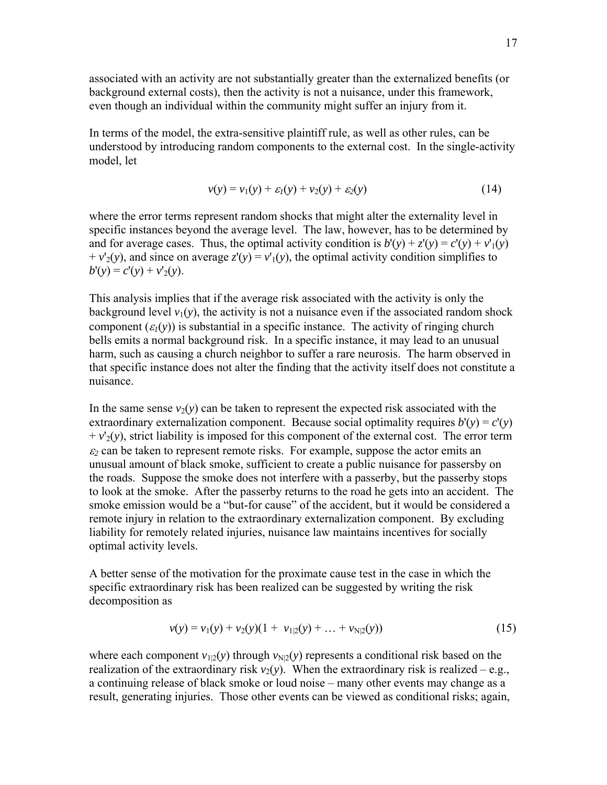associated with an activity are not substantially greater than the externalized benefits (or background external costs), then the activity is not a nuisance, under this framework, even though an individual within the community might suffer an injury from it.

In terms of the model, the extra-sensitive plaintiff rule, as well as other rules, can be understood by introducing random components to the external cost. In the single-activity model, let

$$
v(y) = v_1(y) + \varepsilon_1(y) + v_2(y) + \varepsilon_2(y)
$$
\n(14)

where the error terms represent random shocks that might alter the externality level in specific instances beyond the average level. The law, however, has to be determined by and for average cases. Thus, the optimal activity condition is  $b'(y) + z'(y) = c'(y) + v'(y)$  $+v_2(y)$ , and since on average  $z'(y) = v_1'(y)$ , the optimal activity condition simplifies to  $b'(y) = c'(y) + v'_2(y)$ .

This analysis implies that if the average risk associated with the activity is only the background level  $v_1(y)$ , the activity is not a nuisance even if the associated random shock component  $(\varepsilon_1(y))$  is substantial in a specific instance. The activity of ringing church bells emits a normal background risk. In a specific instance, it may lead to an unusual harm, such as causing a church neighbor to suffer a rare neurosis. The harm observed in that specific instance does not alter the finding that the activity itself does not constitute a nuisance.

In the same sense  $v_2(y)$  can be taken to represent the expected risk associated with the extraordinary externalization component. Because social optimality requires  $b'(y) = c'(y)$  $+ v<sub>2</sub>(y)$ , strict liability is imposed for this component of the external cost. The error term  $\epsilon_2$  can be taken to represent remote risks. For example, suppose the actor emits an unusual amount of black smoke, sufficient to create a public nuisance for passersby on the roads. Suppose the smoke does not interfere with a passerby, but the passerby stops to look at the smoke. After the passerby returns to the road he gets into an accident. The smoke emission would be a "but-for cause" of the accident, but it would be considered a remote injury in relation to the extraordinary externalization component. By excluding liability for remotely related injuries, nuisance law maintains incentives for socially optimal activity levels.

A better sense of the motivation for the proximate cause test in the case in which the specific extraordinary risk has been realized can be suggested by writing the risk decomposition as

$$
v(y) = v_1(y) + v_2(y)(1 + v_{1|2}(y) + \dots + v_{N|2}(y))
$$
\n(15)

where each component  $v_{1/2}(y)$  through  $v_{N/2}(y)$  represents a conditional risk based on the realization of the extraordinary risk  $v_2(y)$ . When the extraordinary risk is realized – e.g., a continuing release of black smoke or loud noise – many other events may change as a result, generating injuries. Those other events can be viewed as conditional risks; again,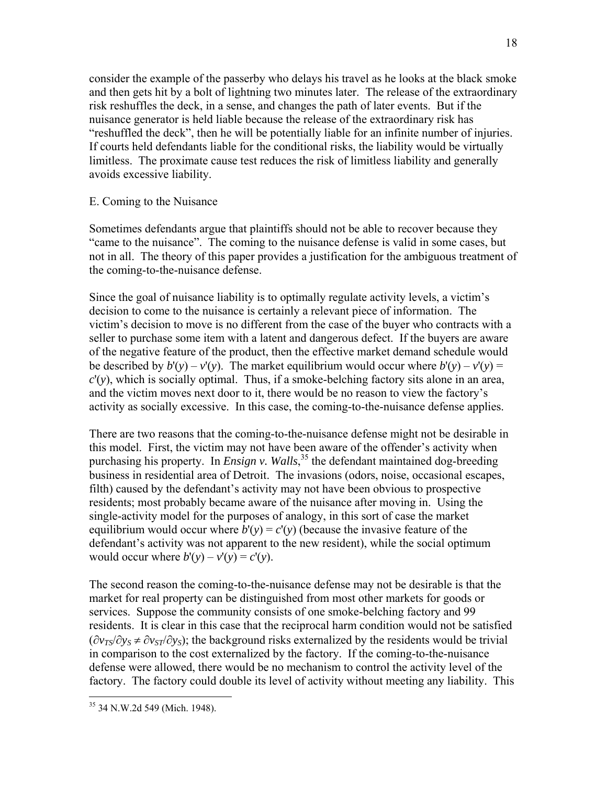consider the example of the passerby who delays his travel as he looks at the black smoke and then gets hit by a bolt of lightning two minutes later. The release of the extraordinary risk reshuffles the deck, in a sense, and changes the path of later events. But if the nuisance generator is held liable because the release of the extraordinary risk has "reshuffled the deck", then he will be potentially liable for an infinite number of injuries. If courts held defendants liable for the conditional risks, the liability would be virtually limitless. The proximate cause test reduces the risk of limitless liability and generally avoids excessive liability.

# E. Coming to the Nuisance

Sometimes defendants argue that plaintiffs should not be able to recover because they "came to the nuisance". The coming to the nuisance defense is valid in some cases, but not in all. The theory of this paper provides a justification for the ambiguous treatment of the coming-to-the-nuisance defense.

Since the goal of nuisance liability is to optimally regulate activity levels, a victim's decision to come to the nuisance is certainly a relevant piece of information. The victim's decision to move is no different from the case of the buyer who contracts with a seller to purchase some item with a latent and dangerous defect. If the buyers are aware of the negative feature of the product, then the effective market demand schedule would be described by  $b'(y) - v'(y)$ . The market equilibrium would occur where  $b'(y) - v'(y) =$  $c'(y)$ , which is socially optimal. Thus, if a smoke-belching factory sits alone in an area, and the victim moves next door to it, there would be no reason to view the factory's activity as socially excessive. In this case, the coming-to-the-nuisance defense applies.

There are two reasons that the coming-to-the-nuisance defense might not be desirable in this model. First, the victim may not have been aware of the offender's activity when purchasing his property. In *Ensign v. Walls*, 35 the defendant maintained dog-breeding business in residential area of Detroit. The invasions (odors, noise, occasional escapes, filth) caused by the defendant's activity may not have been obvious to prospective residents; most probably became aware of the nuisance after moving in. Using the single-activity model for the purposes of analogy, in this sort of case the market equilibrium would occur where  $b'(y) = c'(y)$  (because the invasive feature of the defendant's activity was not apparent to the new resident), while the social optimum would occur where  $b'(y) - v'(y) = c'(y)$ .

The second reason the coming-to-the-nuisance defense may not be desirable is that the market for real property can be distinguished from most other markets for goods or services. Suppose the community consists of one smoke-belching factory and 99 residents. It is clear in this case that the reciprocal harm condition would not be satisfied  $(\partial v_{TS}/\partial v_{S} \neq \partial v_{ST}/\partial v_{S})$ ; the background risks externalized by the residents would be trivial in comparison to the cost externalized by the factory. If the coming-to-the-nuisance defense were allowed, there would be no mechanism to control the activity level of the factory. The factory could double its level of activity without meeting any liability. This

<u>.</u>

<sup>35 34</sup> N.W.2d 549 (Mich. 1948).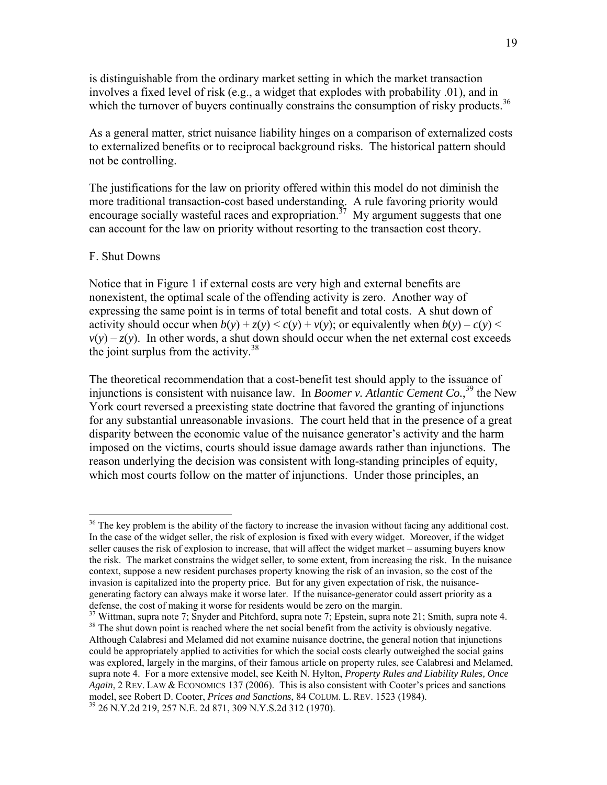is distinguishable from the ordinary market setting in which the market transaction involves a fixed level of risk (e.g., a widget that explodes with probability .01), and in which the turnover of buyers continually constrains the consumption of risky products.<sup>36</sup>

As a general matter, strict nuisance liability hinges on a comparison of externalized costs to externalized benefits or to reciprocal background risks. The historical pattern should not be controlling.

The justifications for the law on priority offered within this model do not diminish the more traditional transaction-cost based understanding. A rule favoring priority would encourage socially wasteful races and expropriation.<sup>37</sup> My argument suggests that one can account for the law on priority without resorting to the transaction cost theory.

# F. Shut Downs

 $\overline{a}$ 

Notice that in Figure 1 if external costs are very high and external benefits are nonexistent, the optimal scale of the offending activity is zero. Another way of expressing the same point is in terms of total benefit and total costs. A shut down of activity should occur when  $b(y) + z(y) \leq c(y) + v(y)$ ; or equivalently when  $b(y) - c(y) \leq$  $v(y) - z(y)$ . In other words, a shut down should occur when the net external cost exceeds the joint surplus from the activity. $38$ 

The theoretical recommendation that a cost-benefit test should apply to the issuance of injunctions is consistent with nuisance law. In *Boomer v. Atlantic Cement Co.*<sup>39</sup>, the New York court reversed a preexisting state doctrine that favored the granting of injunctions for any substantial unreasonable invasions. The court held that in the presence of a great disparity between the economic value of the nuisance generator's activity and the harm imposed on the victims, courts should issue damage awards rather than injunctions. The reason underlying the decision was consistent with long-standing principles of equity, which most courts follow on the matter of injunctions. Under those principles, an

<sup>&</sup>lt;sup>36</sup> The key problem is the ability of the factory to increase the invasion without facing any additional cost. In the case of the widget seller, the risk of explosion is fixed with every widget. Moreover, if the widget seller causes the risk of explosion to increase, that will affect the widget market – assuming buyers know the risk. The market constrains the widget seller, to some extent, from increasing the risk. In the nuisance context, suppose a new resident purchases property knowing the risk of an invasion, so the cost of the invasion is capitalized into the property price. But for any given expectation of risk, the nuisancegenerating factory can always make it worse later. If the nuisance-generator could assert priority as a defense, the cost of making it worse for residents would be zero on the margin.

<sup>&</sup>lt;sup>37</sup> Wittman, supra note 7; Snyder and Pitchford, supra note 7; Epstein, supra note 21; Smith, supra note 4. <sup>38</sup> The shut down point is reached where the net social benefit from the activity is obviously negative. Although Calabresi and Melamed did not examine nuisance doctrine, the general notion that injunctions could be appropriately applied to activities for which the social costs clearly outweighed the social gains was explored, largely in the margins, of their famous article on property rules, see Calabresi and Melamed, supra note 4. For a more extensive model, see Keith N. Hylton, *Property Rules and Liability Rules, Once Again*, 2 REV. LAW & ECONOMICS 137 (2006). This is also consistent with Cooter's prices and sanctions model, see Robert D. Cooter, *Prices and Sanctions*, 84 COLUM. L. REV. 1523 (1984). 39 26 N.Y.2d 219, 257 N.E. 2d 871, 309 N.Y.S.2d 312 (1970).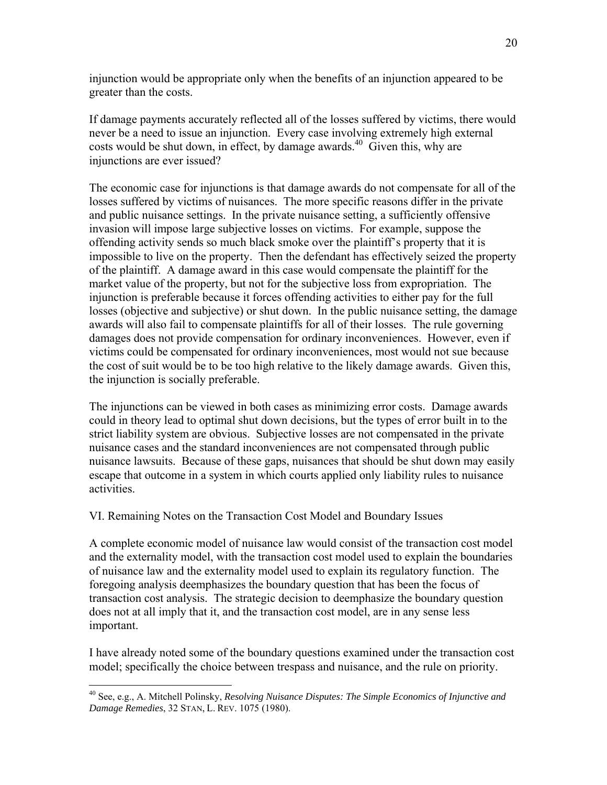injunction would be appropriate only when the benefits of an injunction appeared to be greater than the costs.

If damage payments accurately reflected all of the losses suffered by victims, there would never be a need to issue an injunction. Every case involving extremely high external costs would be shut down, in effect, by damage awards.<sup>40</sup> Given this, why are injunctions are ever issued?

The economic case for injunctions is that damage awards do not compensate for all of the losses suffered by victims of nuisances. The more specific reasons differ in the private and public nuisance settings. In the private nuisance setting, a sufficiently offensive invasion will impose large subjective losses on victims. For example, suppose the offending activity sends so much black smoke over the plaintiff's property that it is impossible to live on the property. Then the defendant has effectively seized the property of the plaintiff. A damage award in this case would compensate the plaintiff for the market value of the property, but not for the subjective loss from expropriation. The injunction is preferable because it forces offending activities to either pay for the full losses (objective and subjective) or shut down. In the public nuisance setting, the damage awards will also fail to compensate plaintiffs for all of their losses. The rule governing damages does not provide compensation for ordinary inconveniences. However, even if victims could be compensated for ordinary inconveniences, most would not sue because the cost of suit would be to be too high relative to the likely damage awards. Given this, the injunction is socially preferable.

The injunctions can be viewed in both cases as minimizing error costs. Damage awards could in theory lead to optimal shut down decisions, but the types of error built in to the strict liability system are obvious. Subjective losses are not compensated in the private nuisance cases and the standard inconveniences are not compensated through public nuisance lawsuits. Because of these gaps, nuisances that should be shut down may easily escape that outcome in a system in which courts applied only liability rules to nuisance activities.

VI. Remaining Notes on the Transaction Cost Model and Boundary Issues

 $\overline{a}$ 

A complete economic model of nuisance law would consist of the transaction cost model and the externality model, with the transaction cost model used to explain the boundaries of nuisance law and the externality model used to explain its regulatory function. The foregoing analysis deemphasizes the boundary question that has been the focus of transaction cost analysis. The strategic decision to deemphasize the boundary question does not at all imply that it, and the transaction cost model, are in any sense less important.

I have already noted some of the boundary questions examined under the transaction cost model; specifically the choice between trespass and nuisance, and the rule on priority.

<sup>40</sup> See, e.g., A. Mitchell Polinsky, *Resolving Nuisance Disputes: The Simple Economics of Injunctive and Damage Remedies*, 32 STAN, L. REV. 1075 (1980).